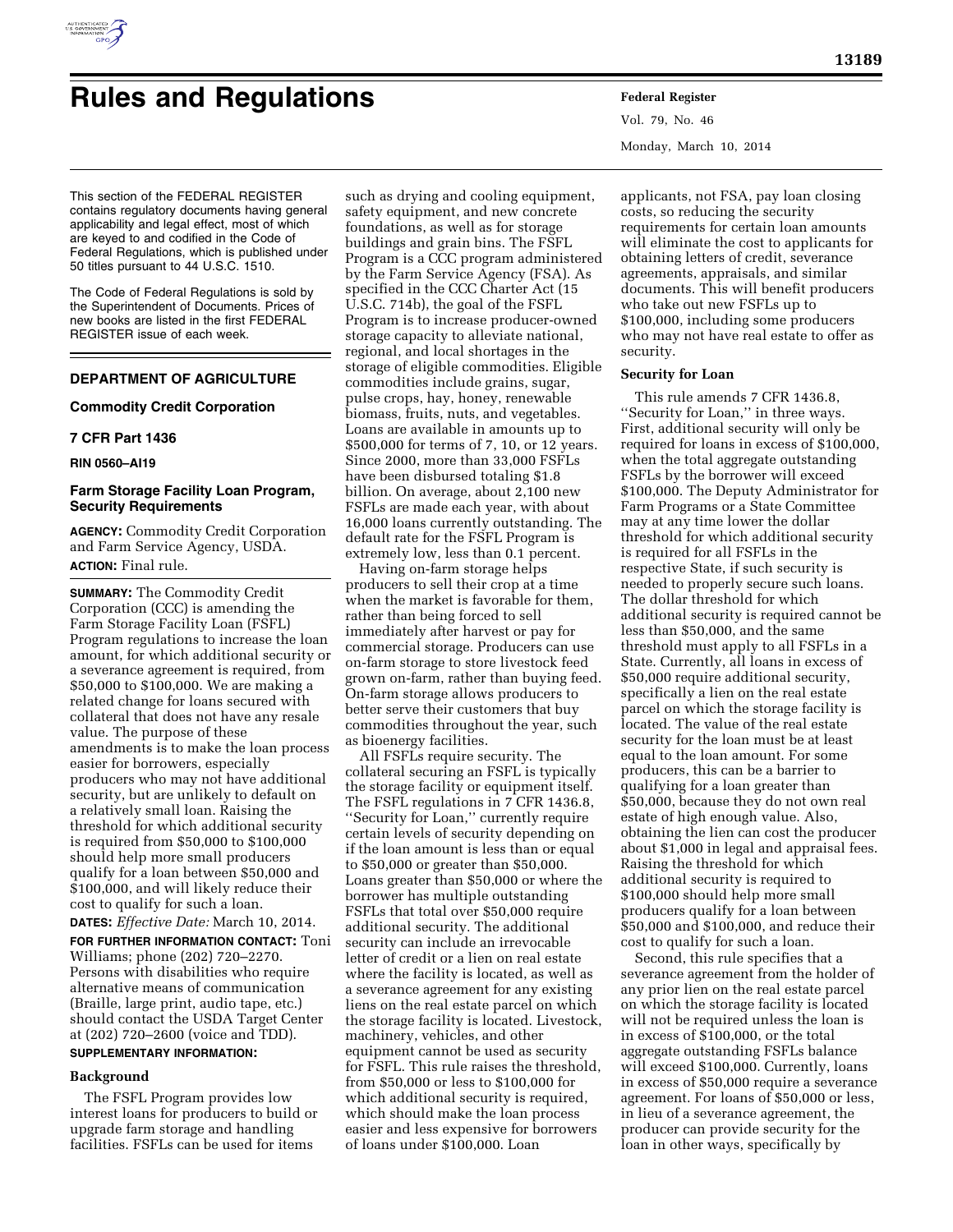

# **Rules and Regulations Federal Register**

This section of the FEDERAL REGISTER contains regulatory documents having general applicability and legal effect, most of which are keyed to and codified in the Code of Federal Regulations, which is published under 50 titles pursuant to 44 U.S.C. 1510.

The Code of Federal Regulations is sold by the Superintendent of Documents. Prices of new books are listed in the first FEDERAL REGISTER issue of each week.

# **DEPARTMENT OF AGRICULTURE**

## **Commodity Credit Corporation**

#### **7 CFR Part 1436**

**RIN 0560–AI19** 

## **Farm Storage Facility Loan Program, Security Requirements**

**AGENCY:** Commodity Credit Corporation and Farm Service Agency, USDA. **ACTION:** Final rule.

**SUMMARY:** The Commodity Credit Corporation (CCC) is amending the Farm Storage Facility Loan (FSFL) Program regulations to increase the loan amount, for which additional security or a severance agreement is required, from \$50,000 to \$100,000. We are making a related change for loans secured with collateral that does not have any resale value. The purpose of these amendments is to make the loan process easier for borrowers, especially producers who may not have additional security, but are unlikely to default on a relatively small loan. Raising the threshold for which additional security is required from \$50,000 to \$100,000 should help more small producers qualify for a loan between \$50,000 and \$100,000, and will likely reduce their cost to qualify for such a loan.

**DATES:** *Effective Date:* March 10, 2014. **FOR FURTHER INFORMATION CONTACT:** Toni Williams; phone (202) 720–2270. Persons with disabilities who require alternative means of communication (Braille, large print, audio tape, etc.) should contact the USDA Target Center at (202) 720–2600 (voice and TDD).

# **SUPPLEMENTARY INFORMATION:**

# **Background**

The FSFL Program provides low interest loans for producers to build or upgrade farm storage and handling facilities. FSFLs can be used for items

such as drying and cooling equipment, safety equipment, and new concrete foundations, as well as for storage buildings and grain bins. The FSFL Program is a CCC program administered by the Farm Service Agency (FSA). As specified in the CCC Charter Act (15 U.S.C. 714b), the goal of the FSFL Program is to increase producer-owned storage capacity to alleviate national, regional, and local shortages in the storage of eligible commodities. Eligible commodities include grains, sugar, pulse crops, hay, honey, renewable biomass, fruits, nuts, and vegetables. Loans are available in amounts up to \$500,000 for terms of 7, 10, or 12 years. Since 2000, more than 33,000 FSFLs have been disbursed totaling \$1.8 billion. On average, about 2,100 new FSFLs are made each year, with about 16,000 loans currently outstanding. The default rate for the FSFL Program is extremely low, less than 0.1 percent.

Having on-farm storage helps producers to sell their crop at a time when the market is favorable for them, rather than being forced to sell immediately after harvest or pay for commercial storage. Producers can use on-farm storage to store livestock feed grown on-farm, rather than buying feed. On-farm storage allows producers to better serve their customers that buy commodities throughout the year, such as bioenergy facilities.

All FSFLs require security. The collateral securing an FSFL is typically the storage facility or equipment itself. The FSFL regulations in 7 CFR 1436.8, ''Security for Loan,'' currently require certain levels of security depending on if the loan amount is less than or equal to \$50,000 or greater than \$50,000. Loans greater than \$50,000 or where the borrower has multiple outstanding FSFLs that total over \$50,000 require additional security. The additional security can include an irrevocable letter of credit or a lien on real estate where the facility is located, as well as a severance agreement for any existing liens on the real estate parcel on which the storage facility is located. Livestock, machinery, vehicles, and other equipment cannot be used as security for FSFL. This rule raises the threshold, from \$50,000 or less to \$100,000 for which additional security is required, which should make the loan process easier and less expensive for borrowers of loans under \$100,000. Loan

Vol. 79, No. 46 Monday, March 10, 2014

applicants, not FSA, pay loan closing costs, so reducing the security requirements for certain loan amounts will eliminate the cost to applicants for obtaining letters of credit, severance agreements, appraisals, and similar documents. This will benefit producers who take out new FSFLs up to \$100,000, including some producers who may not have real estate to offer as security.

# **Security for Loan**

This rule amends 7 CFR 1436.8, ''Security for Loan,'' in three ways. First, additional security will only be required for loans in excess of \$100,000, when the total aggregate outstanding FSFLs by the borrower will exceed \$100,000. The Deputy Administrator for Farm Programs or a State Committee may at any time lower the dollar threshold for which additional security is required for all FSFLs in the respective State, if such security is needed to properly secure such loans. The dollar threshold for which additional security is required cannot be less than \$50,000, and the same threshold must apply to all FSFLs in a State. Currently, all loans in excess of \$50,000 require additional security, specifically a lien on the real estate parcel on which the storage facility is located. The value of the real estate security for the loan must be at least equal to the loan amount. For some producers, this can be a barrier to qualifying for a loan greater than \$50,000, because they do not own real estate of high enough value. Also, obtaining the lien can cost the producer about \$1,000 in legal and appraisal fees. Raising the threshold for which additional security is required to \$100,000 should help more small producers qualify for a loan between \$50,000 and \$100,000, and reduce their cost to qualify for such a loan.

Second, this rule specifies that a severance agreement from the holder of any prior lien on the real estate parcel on which the storage facility is located will not be required unless the loan is in excess of \$100,000, or the total aggregate outstanding FSFLs balance will exceed \$100,000. Currently, loans in excess of \$50,000 require a severance agreement. For loans of \$50,000 or less, in lieu of a severance agreement, the producer can provide security for the loan in other ways, specifically by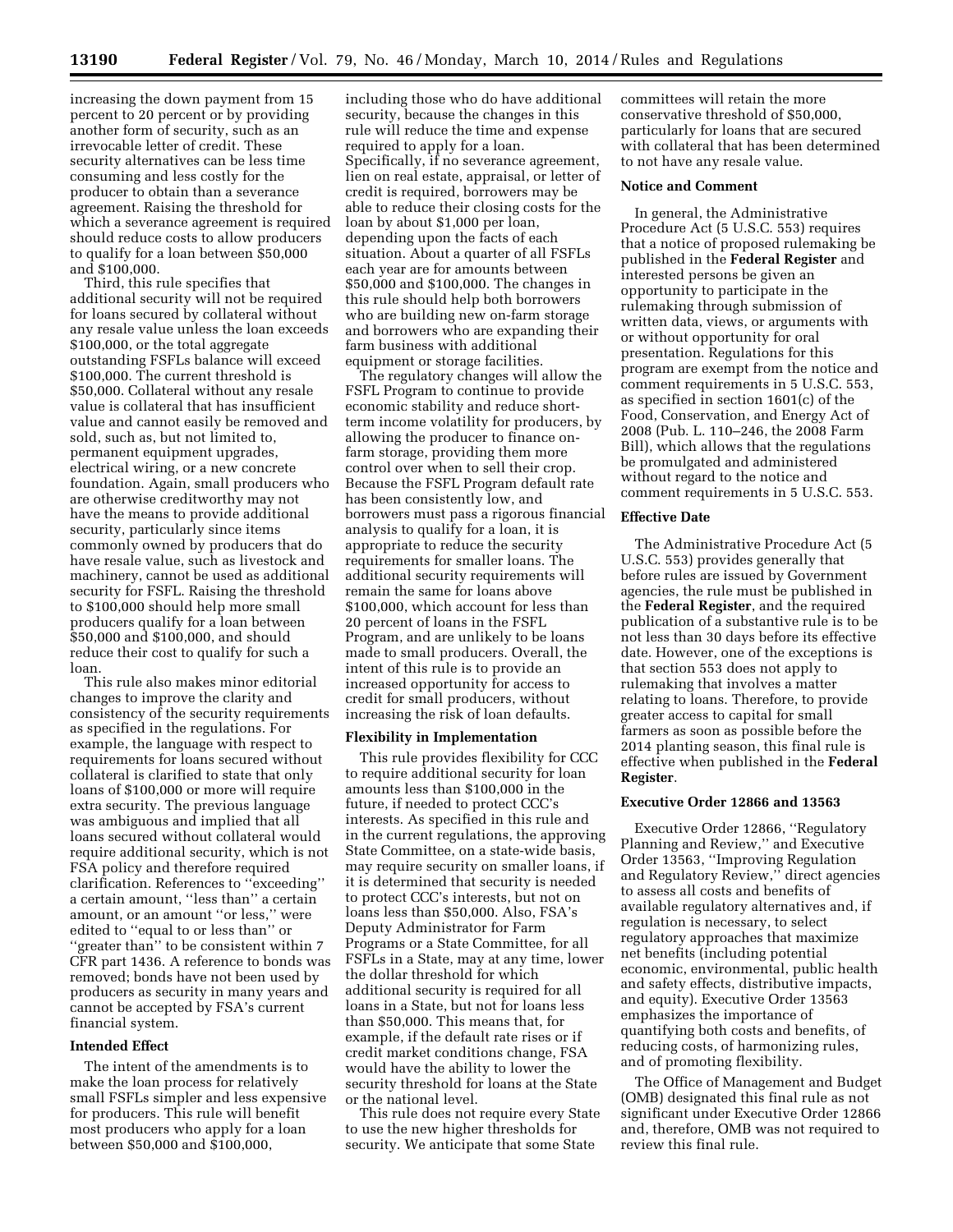increasing the down payment from 15 percent to 20 percent or by providing another form of security, such as an irrevocable letter of credit. These security alternatives can be less time consuming and less costly for the producer to obtain than a severance agreement. Raising the threshold for which a severance agreement is required should reduce costs to allow producers to qualify for a loan between \$50,000 and \$100,000.

Third, this rule specifies that additional security will not be required for loans secured by collateral without any resale value unless the loan exceeds \$100,000, or the total aggregate outstanding FSFLs balance will exceed \$100,000. The current threshold is \$50,000. Collateral without any resale value is collateral that has insufficient value and cannot easily be removed and sold, such as, but not limited to, permanent equipment upgrades, electrical wiring, or a new concrete foundation. Again, small producers who are otherwise creditworthy may not have the means to provide additional security, particularly since items commonly owned by producers that do have resale value, such as livestock and machinery, cannot be used as additional security for FSFL. Raising the threshold to \$100,000 should help more small producers qualify for a loan between \$50,000 and \$100,000, and should reduce their cost to qualify for such a loan.

This rule also makes minor editorial changes to improve the clarity and consistency of the security requirements as specified in the regulations. For example, the language with respect to requirements for loans secured without collateral is clarified to state that only loans of \$100,000 or more will require extra security. The previous language was ambiguous and implied that all loans secured without collateral would require additional security, which is not FSA policy and therefore required clarification. References to ''exceeding'' a certain amount, ''less than'' a certain amount, or an amount ''or less,'' were edited to ''equal to or less than'' or ''greater than'' to be consistent within 7 CFR part 1436. A reference to bonds was removed; bonds have not been used by producers as security in many years and cannot be accepted by FSA's current financial system.

#### **Intended Effect**

The intent of the amendments is to make the loan process for relatively small FSFLs simpler and less expensive for producers. This rule will benefit most producers who apply for a loan between \$50,000 and \$100,000,

including those who do have additional security, because the changes in this rule will reduce the time and expense required to apply for a loan. Specifically, if no severance agreement, lien on real estate, appraisal, or letter of credit is required, borrowers may be able to reduce their closing costs for the loan by about \$1,000 per loan, depending upon the facts of each situation. About a quarter of all FSFLs each year are for amounts between \$50,000 and \$100,000. The changes in this rule should help both borrowers who are building new on-farm storage and borrowers who are expanding their farm business with additional equipment or storage facilities.

The regulatory changes will allow the FSFL Program to continue to provide economic stability and reduce shortterm income volatility for producers, by allowing the producer to finance onfarm storage, providing them more control over when to sell their crop. Because the FSFL Program default rate has been consistently low, and borrowers must pass a rigorous financial analysis to qualify for a loan, it is appropriate to reduce the security requirements for smaller loans. The additional security requirements will remain the same for loans above \$100,000, which account for less than 20 percent of loans in the FSFL Program, and are unlikely to be loans made to small producers. Overall, the intent of this rule is to provide an increased opportunity for access to credit for small producers, without increasing the risk of loan defaults.

#### **Flexibility in Implementation**

This rule provides flexibility for CCC to require additional security for loan amounts less than \$100,000 in the future, if needed to protect CCC's interests. As specified in this rule and in the current regulations, the approving State Committee, on a state-wide basis, may require security on smaller loans, if it is determined that security is needed to protect CCC's interests, but not on loans less than \$50,000. Also, FSA's Deputy Administrator for Farm Programs or a State Committee, for all FSFLs in a State, may at any time, lower the dollar threshold for which additional security is required for all loans in a State, but not for loans less than \$50,000. This means that, for example, if the default rate rises or if credit market conditions change, FSA would have the ability to lower the security threshold for loans at the State or the national level.

This rule does not require every State to use the new higher thresholds for security. We anticipate that some State

committees will retain the more conservative threshold of \$50,000, particularly for loans that are secured with collateral that has been determined to not have any resale value.

#### **Notice and Comment**

In general, the Administrative Procedure Act (5 U.S.C. 553) requires that a notice of proposed rulemaking be published in the **Federal Register** and interested persons be given an opportunity to participate in the rulemaking through submission of written data, views, or arguments with or without opportunity for oral presentation. Regulations for this program are exempt from the notice and comment requirements in 5 U.S.C. 553, as specified in section 1601(c) of the Food, Conservation, and Energy Act of 2008 (Pub. L. 110–246, the 2008 Farm Bill), which allows that the regulations be promulgated and administered without regard to the notice and comment requirements in 5 U.S.C. 553.

#### **Effective Date**

The Administrative Procedure Act (5 U.S.C. 553) provides generally that before rules are issued by Government agencies, the rule must be published in the **Federal Register**, and the required publication of a substantive rule is to be not less than 30 days before its effective date. However, one of the exceptions is that section 553 does not apply to rulemaking that involves a matter relating to loans. Therefore, to provide greater access to capital for small farmers as soon as possible before the 2014 planting season, this final rule is effective when published in the **Federal Register**.

#### **Executive Order 12866 and 13563**

Executive Order 12866, ''Regulatory Planning and Review,'' and Executive Order 13563, ''Improving Regulation and Regulatory Review,'' direct agencies to assess all costs and benefits of available regulatory alternatives and, if regulation is necessary, to select regulatory approaches that maximize net benefits (including potential economic, environmental, public health and safety effects, distributive impacts, and equity). Executive Order 13563 emphasizes the importance of quantifying both costs and benefits, of reducing costs, of harmonizing rules, and of promoting flexibility.

The Office of Management and Budget (OMB) designated this final rule as not significant under Executive Order 12866 and, therefore, OMB was not required to review this final rule.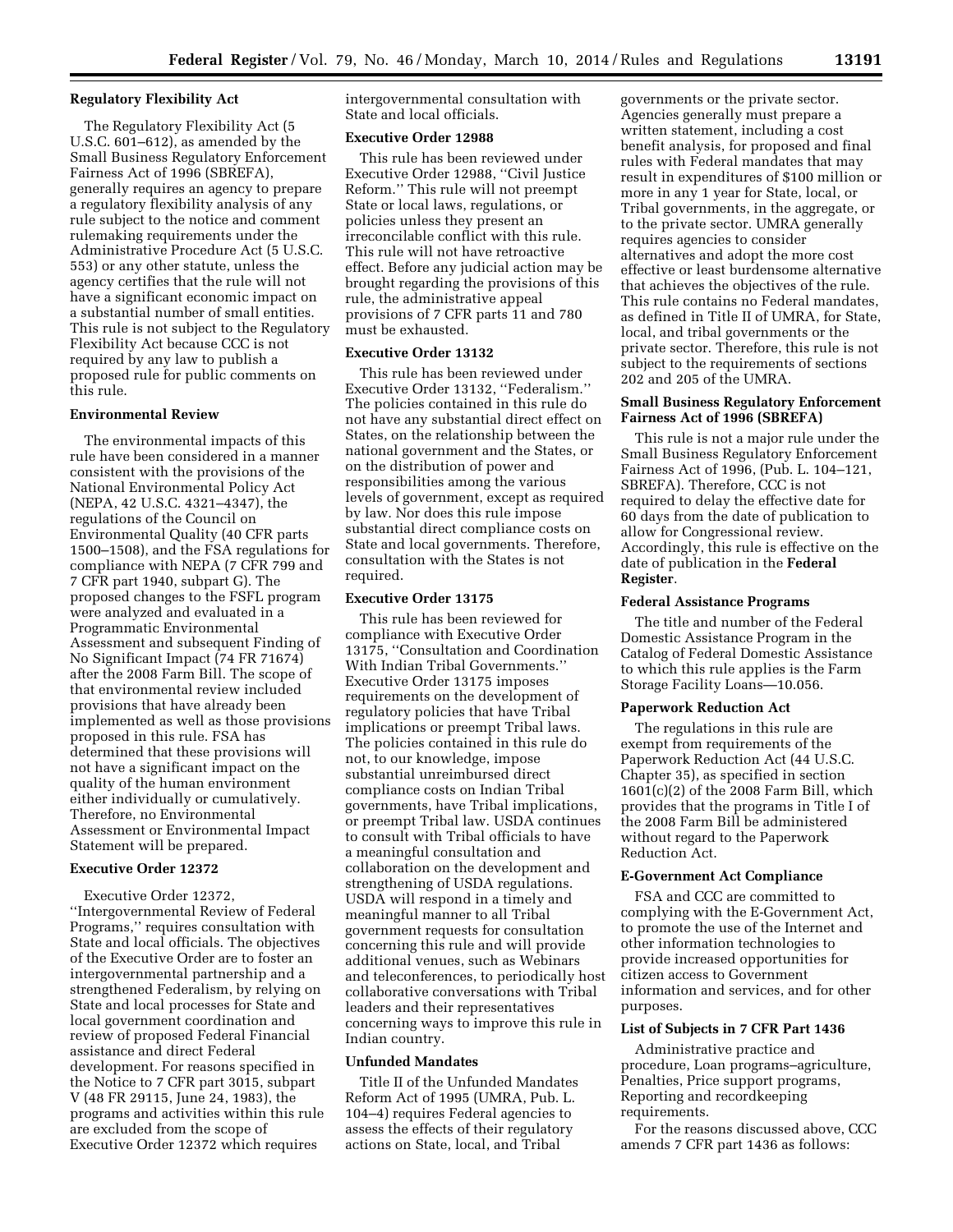## **Regulatory Flexibility Act**

The Regulatory Flexibility Act (5 U.S.C. 601–612), as amended by the Small Business Regulatory Enforcement Fairness Act of 1996 (SBREFA), generally requires an agency to prepare a regulatory flexibility analysis of any rule subject to the notice and comment rulemaking requirements under the Administrative Procedure Act (5 U.S.C. 553) or any other statute, unless the agency certifies that the rule will not have a significant economic impact on a substantial number of small entities. This rule is not subject to the Regulatory Flexibility Act because CCC is not required by any law to publish a proposed rule for public comments on this rule.

#### **Environmental Review**

The environmental impacts of this rule have been considered in a manner consistent with the provisions of the National Environmental Policy Act (NEPA, 42 U.S.C. 4321–4347), the regulations of the Council on Environmental Quality (40 CFR parts 1500–1508), and the FSA regulations for compliance with NEPA (7 CFR 799 and 7 CFR part 1940, subpart G). The proposed changes to the FSFL program were analyzed and evaluated in a Programmatic Environmental Assessment and subsequent Finding of No Significant Impact (74 FR 71674) after the 2008 Farm Bill. The scope of that environmental review included provisions that have already been implemented as well as those provisions proposed in this rule. FSA has determined that these provisions will not have a significant impact on the quality of the human environment either individually or cumulatively. Therefore, no Environmental Assessment or Environmental Impact Statement will be prepared.

#### **Executive Order 12372**

Executive Order 12372, ''Intergovernmental Review of Federal Programs,'' requires consultation with State and local officials. The objectives of the Executive Order are to foster an intergovernmental partnership and a strengthened Federalism, by relying on State and local processes for State and local government coordination and review of proposed Federal Financial assistance and direct Federal development. For reasons specified in the Notice to 7 CFR part 3015, subpart V (48 FR 29115, June 24, 1983), the programs and activities within this rule are excluded from the scope of Executive Order 12372 which requires

intergovernmental consultation with State and local officials.

#### **Executive Order 12988**

This rule has been reviewed under Executive Order 12988, ''Civil Justice Reform.'' This rule will not preempt State or local laws, regulations, or policies unless they present an irreconcilable conflict with this rule. This rule will not have retroactive effect. Before any judicial action may be brought regarding the provisions of this rule, the administrative appeal provisions of 7 CFR parts 11 and 780 must be exhausted.

#### **Executive Order 13132**

This rule has been reviewed under Executive Order 13132, ''Federalism.'' The policies contained in this rule do not have any substantial direct effect on States, on the relationship between the national government and the States, or on the distribution of power and responsibilities among the various levels of government, except as required by law. Nor does this rule impose substantial direct compliance costs on State and local governments. Therefore, consultation with the States is not required.

#### **Executive Order 13175**

This rule has been reviewed for compliance with Executive Order 13175, ''Consultation and Coordination With Indian Tribal Governments.'' Executive Order 13175 imposes requirements on the development of regulatory policies that have Tribal implications or preempt Tribal laws. The policies contained in this rule do not, to our knowledge, impose substantial unreimbursed direct compliance costs on Indian Tribal governments, have Tribal implications, or preempt Tribal law. USDA continues to consult with Tribal officials to have a meaningful consultation and collaboration on the development and strengthening of USDA regulations. USDA will respond in a timely and meaningful manner to all Tribal government requests for consultation concerning this rule and will provide additional venues, such as Webinars and teleconferences, to periodically host collaborative conversations with Tribal leaders and their representatives concerning ways to improve this rule in Indian country.

## **Unfunded Mandates**

Title II of the Unfunded Mandates Reform Act of 1995 (UMRA, Pub. L. 104–4) requires Federal agencies to assess the effects of their regulatory actions on State, local, and Tribal

governments or the private sector. Agencies generally must prepare a written statement, including a cost benefit analysis, for proposed and final rules with Federal mandates that may result in expenditures of \$100 million or more in any 1 year for State, local, or Tribal governments, in the aggregate, or to the private sector. UMRA generally requires agencies to consider alternatives and adopt the more cost effective or least burdensome alternative that achieves the objectives of the rule. This rule contains no Federal mandates, as defined in Title II of UMRA, for State, local, and tribal governments or the private sector. Therefore, this rule is not subject to the requirements of sections 202 and 205 of the UMRA.

## **Small Business Regulatory Enforcement Fairness Act of 1996 (SBREFA)**

This rule is not a major rule under the Small Business Regulatory Enforcement Fairness Act of 1996, (Pub. L. 104–121, SBREFA). Therefore, CCC is not required to delay the effective date for 60 days from the date of publication to allow for Congressional review. Accordingly, this rule is effective on the date of publication in the **Federal Register**.

#### **Federal Assistance Programs**

The title and number of the Federal Domestic Assistance Program in the Catalog of Federal Domestic Assistance to which this rule applies is the Farm Storage Facility Loans—10.056.

#### **Paperwork Reduction Act**

The regulations in this rule are exempt from requirements of the Paperwork Reduction Act (44 U.S.C. Chapter 35), as specified in section 1601(c)(2) of the 2008 Farm Bill, which provides that the programs in Title I of the 2008 Farm Bill be administered without regard to the Paperwork Reduction Act.

#### **E-Government Act Compliance**

FSA and CCC are committed to complying with the E-Government Act, to promote the use of the Internet and other information technologies to provide increased opportunities for citizen access to Government information and services, and for other purposes.

#### **List of Subjects in 7 CFR Part 1436**

Administrative practice and procedure, Loan programs–agriculture, Penalties, Price support programs, Reporting and recordkeeping requirements.

For the reasons discussed above, CCC amends 7 CFR part 1436 as follows: